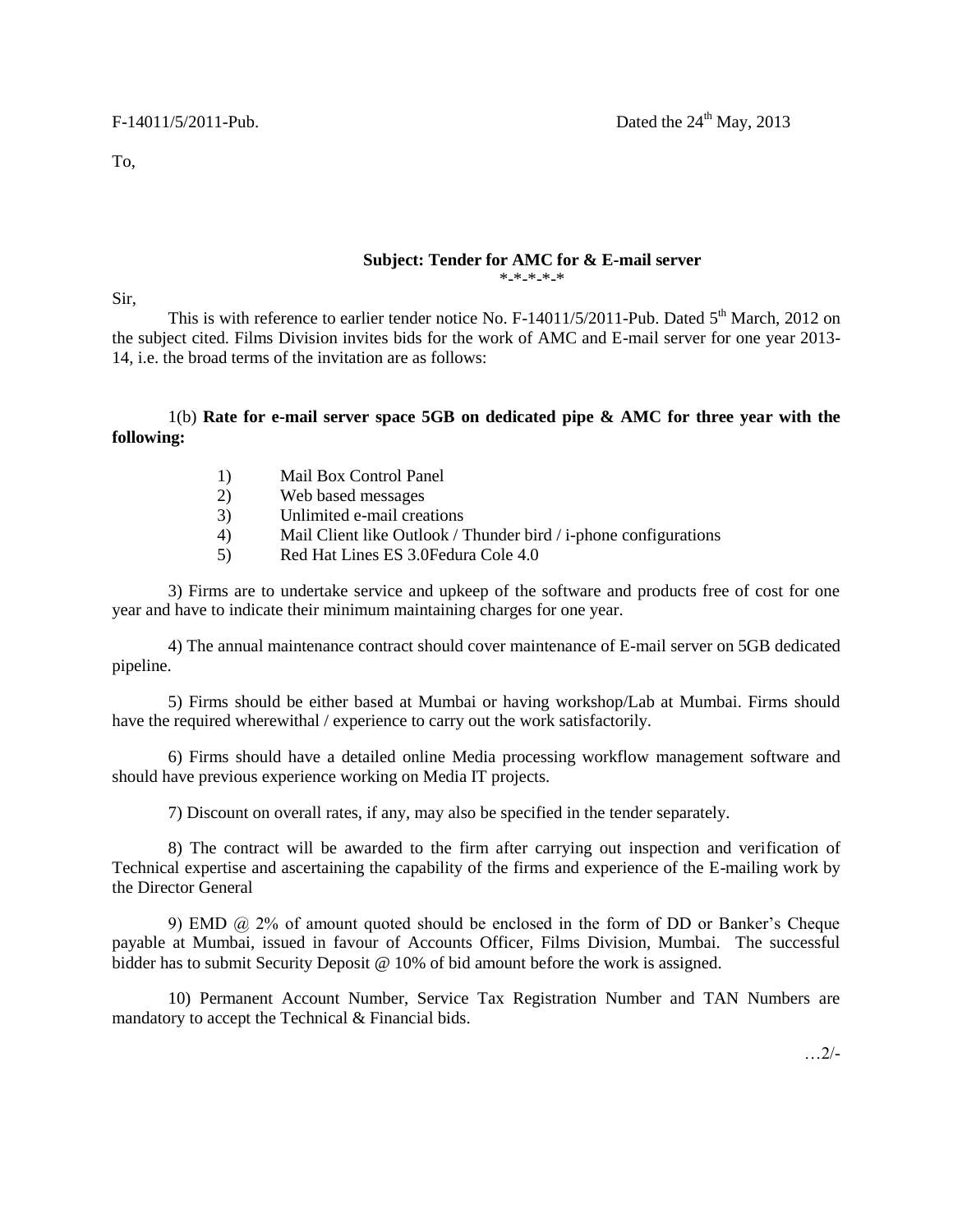To,

## **Subject: Tender for AMC for & E-mail server**

\*-\*-\*-\*-\*

Sir,

This is with reference to earlier tender notice No. F-14011/5/2011-Pub. Dated  $5<sup>th</sup>$  March, 2012 on the subject cited. Films Division invites bids for the work of AMC and E-mail server for one year 2013- 14, i.e. the broad terms of the invitation are as follows:

## 1(b) **Rate for e-mail server space 5GB on dedicated pipe & AMC for three year with the following:**

- 1) Mail Box Control Panel
- 2) Web based messages
- 3) Unlimited e-mail creations
- 4) Mail Client like Outlook / Thunder bird / i-phone configurations
- 5) Red Hat Lines ES 3.0Fedura Cole 4.0

3) Firms are to undertake service and upkeep of the software and products free of cost for one year and have to indicate their minimum maintaining charges for one year.

4) The annual maintenance contract should cover maintenance of E-mail server on 5GB dedicated pipeline.

5) Firms should be either based at Mumbai or having workshop/Lab at Mumbai. Firms should have the required wherewithal / experience to carry out the work satisfactorily.

6) Firms should have a detailed online Media processing workflow management software and should have previous experience working on Media IT projects.

7) Discount on overall rates, if any, may also be specified in the tender separately.

8) The contract will be awarded to the firm after carrying out inspection and verification of Technical expertise and ascertaining the capability of the firms and experience of the E-mailing work by the Director General

9) EMD @ 2% of amount quoted should be enclosed in the form of DD or Banker's Cheque payable at Mumbai, issued in favour of Accounts Officer, Films Division, Mumbai. The successful bidder has to submit Security Deposit @ 10% of bid amount before the work is assigned.

10) Permanent Account Number, Service Tax Registration Number and TAN Numbers are mandatory to accept the Technical & Financial bids.